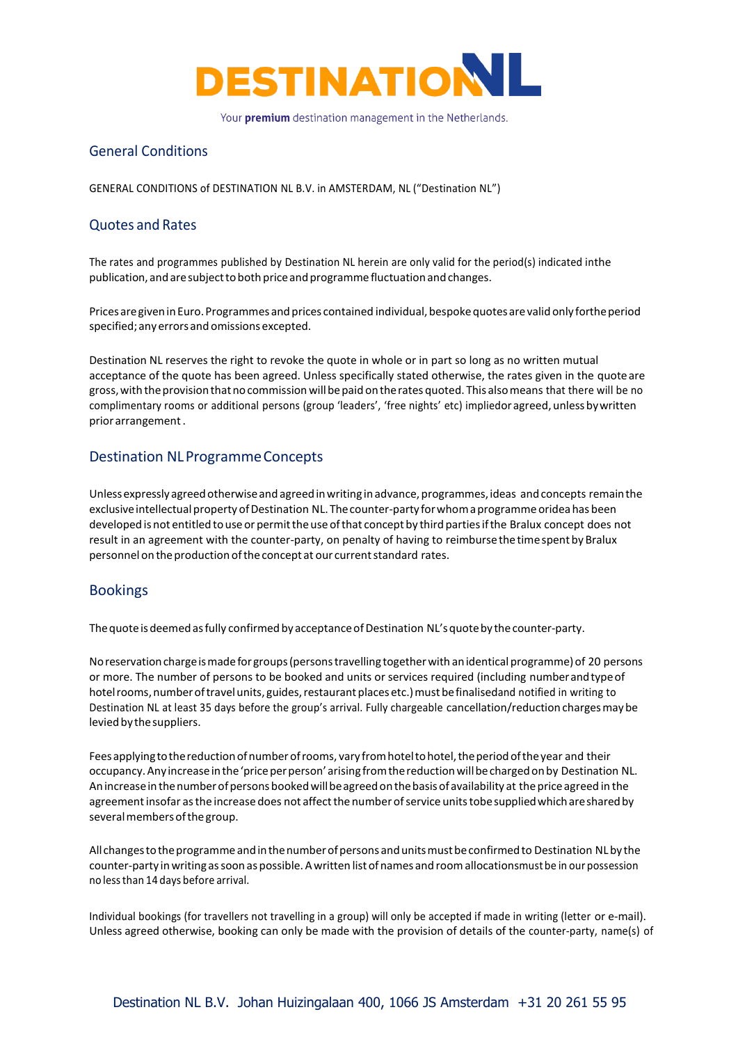

# General Conditions

GENERAL CONDITIONS of DESTINATION NL B.V. in AMSTERDAM, NL ("Destination NL")

### Quotes and Rates

The rates and programmes published by Destination NL herein are only valid for the period(s) indicated inthe publication, and are subject to both price and programme fluctuation and changes.

Prices are given in Euro. Programmes and prices contained individual, bespoke quotes are valid only forthe period specified;any errorsand omissions excepted.

Destination NL reserves the right to revoke the quote in whole or in part so long as no written mutual acceptance of the quote has been agreed. Unless specifically stated otherwise, the rates given in the quoteare gross, with the provision that no commission will be paid on the rates quoted. This also means that there will be no complimentary rooms or additional persons (group 'leaders', 'free nights' etc) impliedor agreed, unless by written prior arrangement.

### Destination NLProgramme Concepts

Unless expressly agreed otherwise and agreed in writing in advance, programmes, ideas and concepts remain the exclusive intellectual property of Destination NL. The counter-party for whom a programme oridea has been developed is not entitled touseor permittheuseofthat concept by third partiesifthe Bralux concept does not result in an agreement with the counter-party, on penalty of having to reimbursethetimespent by Bralux personnel on the production of the concept at our current standard rates.

### Bookings

The quote is deemed as fully confirmed by acceptance of Destination NL's quote by the counter-party.

No reservation charge is made for groups (persons travelling together with an identical programme) of 20 persons or more. The number of persons to be booked and units or services required (including numberandtypeof hotel rooms, number of travel units, guides, restaurant places etc.) must be finalisedand notified in writing to Destination NL at least 35 days before the group's arrival. Fully chargeable cancellation/reduction chargesmaybe levied by the suppliers.

Fees applying to the reduction of number of rooms, vary from hotel to hotel, the period of the year and their occupancy. Any increase in the 'price per person' arising from the reduction will be charged on by Destination NL. Anincreasein thenumberofpersons bookedwillbeagreedonthebasisofavailability at theprice agreed in the agreement insofar as the increase does not affect the number of service units tobe supplied which are shared by several members of the group.

All changestotheprogramme andinthenumberofpersons andunitsmustbeconfirmedto Destination NLby the counter-party inwriting assoon as possible.Awritten listofnames and roomallocationsmust be in our possession no lessthan 14 days before arrival.

Individual bookings (for travellers not travelling in a group) will only be accepted if made in writing (letter or e-mail). Unless agreed otherwise, booking can only be made with the provision of details of the counter-party, name(s) of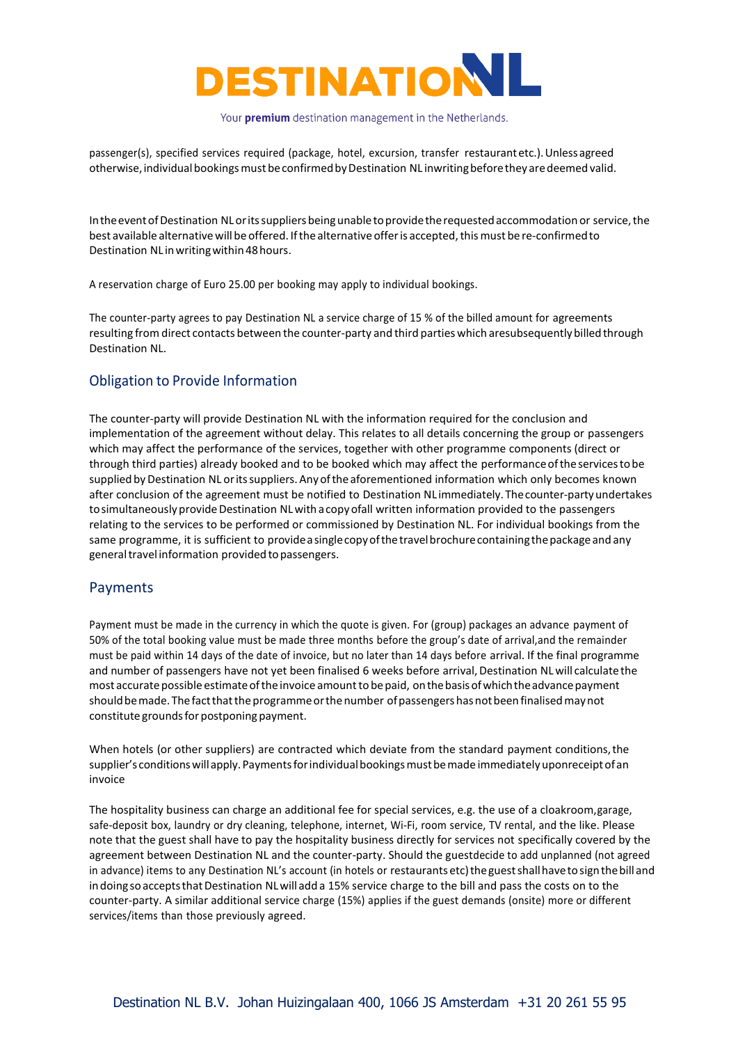

passenger(s), specified services required (package, hotel, excursion, transfer restaurantetc.).Unlessagreed otherwise, individual bookings must be confirmed by Destination NL inwriting before they are deemed valid.

In the event of Destination NL or its suppliers being unable to provide the requested accommodation or service, the best available alternative will be offered. If the alternative offer is accepted, this must be re-confirmed to Destination NL inwritingwithin48hours.

A reservation charge of Euro 25.00 per booking may apply to individual bookings.

The counter-party agrees to pay Destination NL a service charge of 15 % of the billed amount for agreements resulting from direct contacts between the counter-party and third parties which aresubsequentlybilledthrough Destination NL.

## Obligation to Provide Information

The counter-party will provide Destination NL with the information required for the conclusion and implementation of the agreement without delay. This relates to all details concerning the group or passengers which may affect the performance of the services, together with other programme components (direct or through third parties) already booked and to be booked which may affect the performanceoftheservicestobe supplied by Destination NL or its suppliers. Any of the aforementioned information which only becomes known after conclusion of the agreement must be notified to Destination NL immediately. Thecounter-partyundertakes to simultaneously provide Destination NL with a copy ofall written information provided to the passengers relating to the services to be performed or commissioned by Destination NL. For individual bookings from the same programme, it is sufficient to provide a single copy of the travel brochure containing the package and any general travel information provided to passengers.

### Payments

Payment must be made in the currency in which the quote is given. For (group) packages an advance payment of 50% of the total booking value must be made three months before the group's date of arrival,and the remainder must be paid within 14 days of the date of invoice, but no later than 14 days before arrival. If the final programme and number of passengers have not yet been finalised 6 weeks before arrival, Destination NL will calculate the most accurate possible estimate of the invoice amount to be paid, on the basis of which the advance payment should be made. The fact that the programme or the number of passengers has not been finalised may not constitute grounds for postponing payment.

When hotels (or other suppliers) are contracted which deviate from the standard payment conditions, the supplier's conditions will apply. Payments for individual bookings must be made immediately uponreceipt of an invoice

The hospitality business can charge an additional fee for special services, e.g. the use of a cloakroom,garage, safe-deposit box, laundry or dry cleaning, telephone, internet, Wi-Fi, room service, TV rental, and the like. Please note that the guest shall have to pay the hospitality business directly for services not specifically covered by the agreement between Destination NL and the counter-party. Should the guestdecide to add unplanned (not agreed in advance) items to any Destination NL's account (in hotels or restaurants etc) the guest shall have to sign the bill and in doing so accepts that Destination NL will add a 15% service charge to the bill and pass the costs on to the counter-party. A similar additional service charge (15%) applies if the guest demands (onsite) more or different services/items than those previously agreed.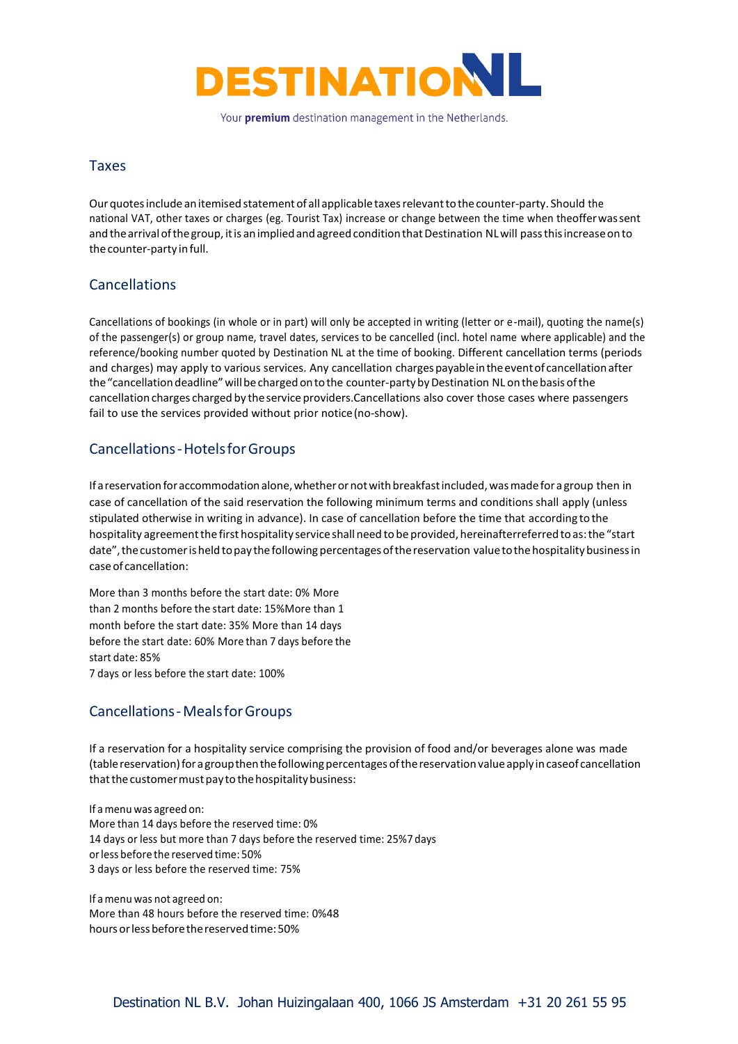

### Taxes

Our quotes include an itemised statement of all applicable taxes relevant to the counter-party. Should the national VAT, other taxes or charges (eg. Tourist Tax) increase or change between the time when theofferwassent and the arrival of the group, it is an implied and agreed condition that Destination NL will pass this increase on to thecounter-party infull.

### Cancellations

Cancellations of bookings (in whole or in part) will only be accepted in writing (letter or e-mail), quoting the name(s) of the passenger(s) or group name, travel dates, services to be cancelled (incl. hotel name where applicable) and the reference/booking number quoted by Destination NL at the time of booking. Different cancellation terms (periods and charges) may apply to various services. Any cancellation charges payable in the event of cancellation after the "cancellation deadline" will be charged on to the counter-party by Destination NL on the basis of the cancellation charges charged by the service providers.Cancellations also cover those cases where passengers fail to use the services provided without prior notice(no-show).

## Cancellations-HotelsforGroups

If a reservation for accommodation alone, whether or not with breakfast included, was made for a group then in case of cancellation of the said reservation the following minimum terms and conditions shall apply (unless stipulated otherwise in writing in advance). In case of cancellation before the time that according to the hospitality agreement the first hospitality service shall need to be provided, hereinafterreferred to as: the "start date", the customer is held to pay the following percentages of the reservation value to the hospitality business in caseof cancellation:

More than 3 months before the start date: 0% More than 2 months before the start date: 15%More than 1 month before the start date: 35% More than 14 days before the start date: 60% More than 7 days before the start date: 85% 7 days or less before the start date: 100%

## Cancellations-MealsforGroups

If a reservation for a hospitality service comprising the provision of food and/or beverages alone was made (tablereservation)for agroupthenthefollowingpercentages ofthereservationvalueapply incaseof cancellation that the customer must pay to the hospitality business:

If amenu was agreed on: More than 14 days before the reserved time: 0% 14 days or less but more than 7 days before the reserved time: 25%7 days or less before the reserved time: 50% 3 days or less before the reserved time: 75%

If amenu was not agreed on: More than 48 hours before the reserved time: 0%48 hours or less before the reserved time: 50%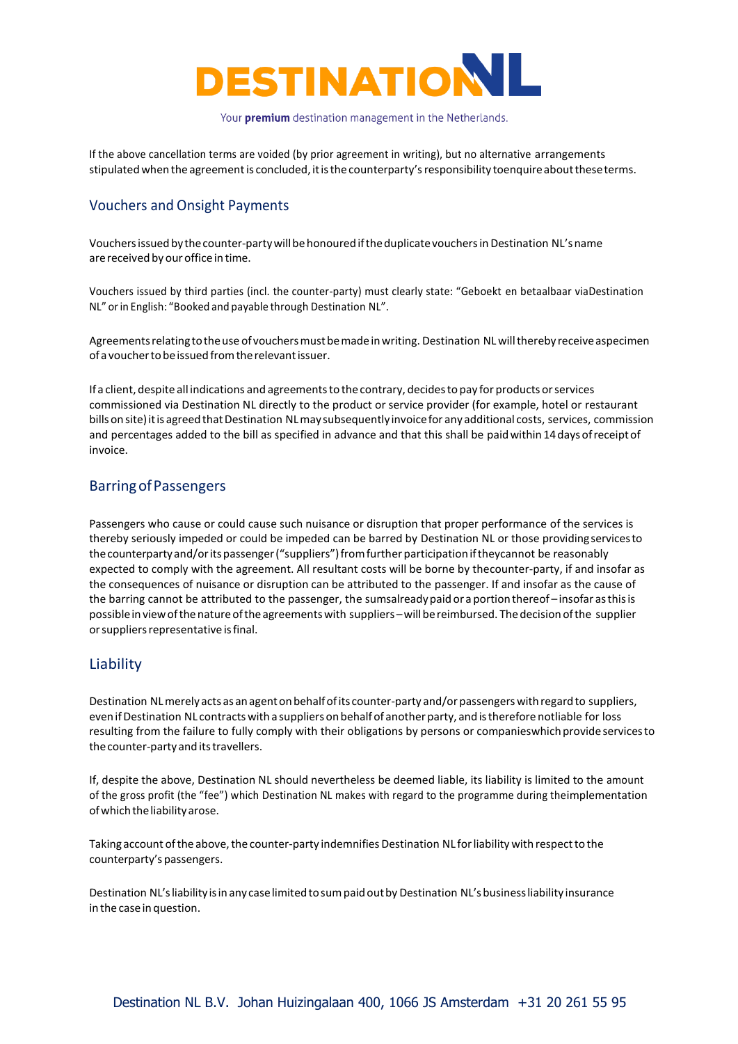

If the above cancellation terms are voided (by prior agreement in writing), but no alternative arrangements stipulated when the agreement is concluded, it is the counterparty's responsibility toenquire about these terms.

## Vouchers and Onsight Payments

Vouchers issued by the counter-party will be honoured if the duplicate vouchers in Destination NL's name are received by our office in time.

Vouchers issued by third parties (incl. the counter-party) must clearly state: "Geboekt en betaalbaar viaDestination NL" orin English: "Booked and payable through Destination NL".

Agreements relating to the use of vouchers must be made in writing. Destination NL will thereby receive aspecimen ofa vouchertobeissuedfromtherelevantissuer.

If a client, despite all indications and agreementsto the contrary, decidesto pay for products orservices commissioned via Destination NL directly to the product or service provider (for example, hotel or restaurant bills on site) it is agreed that Destination NL may subsequently invoice for any additional costs, services, commission and percentages added to the bill as specified in advance and that this shall be paid within 14 days of receipt of invoice.

### BarringofPassengers

Passengers who cause or could cause such nuisance or disruption that proper performance of the services is thereby seriously impeded or could be impeded can be barred by Destination NL or those providingservicesto thecounterpartyand/oritspassenger("suppliers")fromfurther participation iftheycannot be reasonably expected to comply with the agreement. All resultant costs will be borne by thecounter-party, if and insofar as the consequences of nuisance or disruption can be attributed to the passenger. If and insofar as the cause of the barring cannot be attributed to the passenger, the sumsalready paid or a portion thereof – insofar as this is possibleinviewofthenatureoftheagreementswith suppliers –willbereimbursed. Thedecisionofthe supplier or suppliers representative is final.

#### Liability

Destination NL merely acts as an agent on behalf of its counter-party and/or passengers with regard to suppliers, even if Destination NL contracts with a suppliers on behalf of another party, and is therefore notliable for loss resulting from the failure to fully comply with their obligations by persons or companieswhich provide services to the counter-party and its travellers.

If, despite the above, Destination NL should nevertheless be deemed liable, its liability is limited to the amount of the gross profit (the "fee") which Destination NL makes with regard to the programme during theimplementation of which the liability arose.

Taking account of the above, the counter-party indemnifies Destination NL for liability with respect to the counterparty's passengers.

Destination NL's liability is in any case limited to sum paid out by Destination NL's business liability insurance in the casein question.